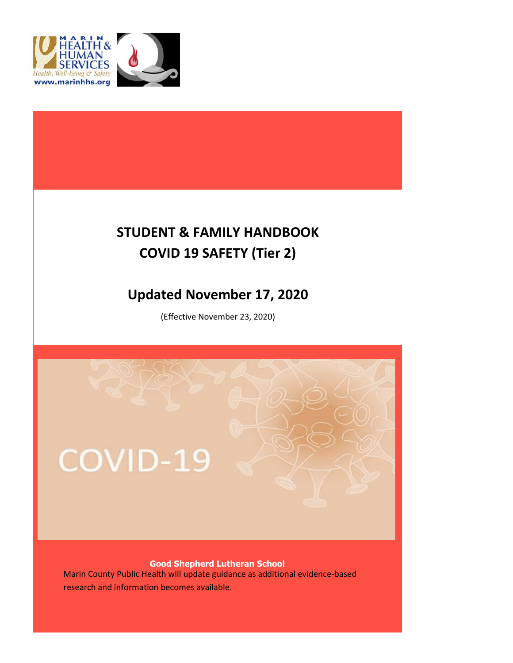



## **STUDENT & FAMILY HANDBOOK COVID 19 SAFETY (Tier 2)**

### **Updated November 17, 2020**

(Effective November 23, 2020)



research and information becomes available.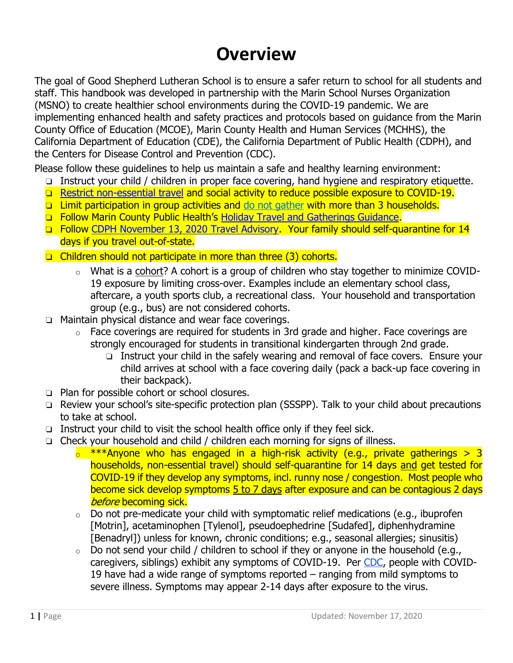# **Overview**

The goal of Good Shepherd Lutheran School is to ensure a safer return to school for all students and staff. This handbook was developed in partnership with the Marin School Nurses Organization (MSNO) to create healthier school environments during the COVID-19 pandemic. We are implementing enhanced health and safety practices and protocols based on guidance from the Marin County Office of Education (MCOE), Marin County Health and Human Services (MCHHS), the California Department of Education (CDE), the California Department of Public Health (CDPH), and the Centers for Disease Control and Prevention (CDC).

Please follow these guidelines to help us maintain a safe and healthy learning environment:

- ❏ Instruct your child / children in proper face covering, hand hygiene and respiratory etiquette.
- ❏ Restrict non-essential travel and social activity to reduce possible exposure to COVID-19.
- ❏ Limit participation in group activities and do not gather with more than 3 households.
- ❏ Follow Marin County Public Health's Holiday Travel and Gatherings Guidance.
- ❏ Follow CDPH November 13, 2020 Travel Advisory. Your family should self-quarantine for 14 days if you travel out-of-state.
- ❏ Children should not participate in more than three (3) cohorts.
	- o What is a cohort? A cohort is a group of children who stay together to minimize COVID-19 exposure by limiting cross-over. Examples include an elementary school class, aftercare, a youth sports club, a recreational class. Your household and transportation group (e.g., bus) are not considered cohorts.
- ❏ Maintain physical distance and wear face coverings.
	- $\circ$  Face coverings are required for students in 3rd grade and higher. Face coverings are strongly encouraged for students in transitional kindergarten through 2nd grade.
		- ❏ Instruct your child in the safely wearing and removal of face covers. Ensure your child arrives at school with a face covering daily (pack a back-up face covering in their backpack).
- ❏ Plan for possible cohort or school closures.
- ❏ Review your school's site-specific protection plan (SSSPP). Talk to your child about precautions to take at school.
- ❏ Instruct your child to visit the school health office only if they feel sick.
- ❏ Check your household and child / children each morning for signs of illness.
	- $\frac{1}{2}$  \*\*\*Anyone who has engaged in a high-risk activity (e.g., private gatherings > 3 households, non-essential travel) should self-quarantine for 14 days and get tested for COVID-19 if they develop any symptoms, incl. runny nose / congestion. Most people who become sick develop symptoms 5 to 7 days after exposure and can be contagious 2 days before becoming sick.
	- $\circ$  Do not pre-medicate your child with symptomatic relief medications (e.g., ibuprofen [Motrin], acetaminophen [Tylenol], pseudoephedrine [Sudafed], diphenhydramine [Benadryl]) unless for known, chronic conditions; e.g., seasonal allergies; sinusitis)
	- $\circ$  Do not send your child / children to school if they or anyone in the household (e.g., caregivers, siblings) exhibit any symptoms of COVID-19. Per CDC, people with COVID-19 have had a wide range of symptoms reported – ranging from mild symptoms to severe illness. Symptoms may appear 2-14 days after exposure to the virus.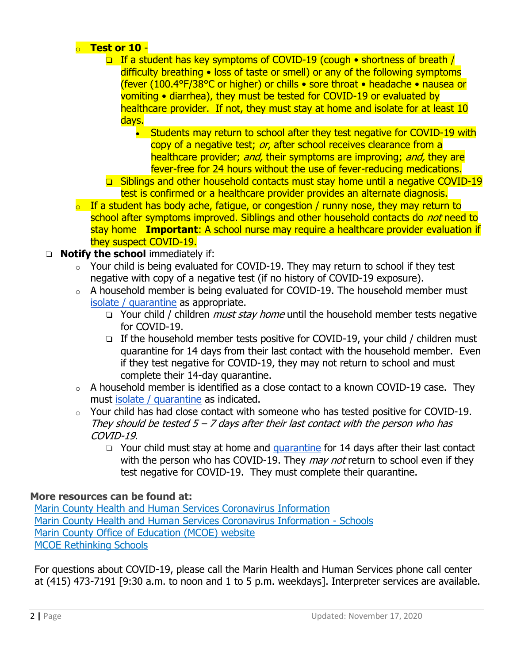#### o **Test or 10** -

- ❏ If a student has key symptoms of COVID-19 (cough shortness of breath / difficulty breathing • loss of taste or smell) or any of the following symptoms (fever (100.4°F/38°C or higher) or chills • sore throat • headache • nausea or vomiting • diarrhea), they must be tested for COVID-19 or evaluated by healthcare provider. If not, they must stay at home and isolate for at least 10 days.
	- Students may return to school after they test negative for COVID-19 with copy of a negative test; or, after school receives clearance from a healthcare provider; and, their symptoms are improving; and, they are fever-free for 24 hours without the use of fever-reducing medications.
- ❏ Siblings and other household contacts must stay home until a negative COVID-19 test is confirmed or a healthcare provider provides an alternate diagnosis.
- $\circ$  If a student has body ache, fatigue, or congestion / runny nose, they may return to school after symptoms improved. Siblings and other household contacts do *not* need to stay home **Important**: A school nurse may require a healthcare provider evaluation if they suspect COVID-19.

#### ❏ **Notify the school** immediately if:

- $\circ$  Your child is being evaluated for COVID-19. They may return to school if they test negative with copy of a negative test (if no history of COVID-19 exposure).
- o A household member is being evaluated for COVID-19. The household member must isolate / quarantine as appropriate.
	- **□** Your child / children *must stay home* until the household member tests negative for COVID-19.
	- ❏ If the household member tests positive for COVID-19, your child / children must quarantine for 14 days from their last contact with the household member. Even if they test negative for COVID-19, they may not return to school and must complete their 14-day quarantine.
- $\circ$  A household member is identified as a close contact to a known COVID-19 case. They must isolate / quarantine as indicated.
- $\circ$  Your child has had close contact with someone who has tested positive for COVID-19. They should be tested  $5 - 7$  days after their last contact with the person who has COVID-19.
	- □ Your child must stay at home and quarantine for 14 days after their last contact with the person who has COVID-19. They *may not* return to school even if they test negative for COVID-19. They must complete their quarantine.

#### **More resources can be found at:**

Marin County Health and Human Services Coronavirus Information Marin County Health and Human Services Coronavirus Information - Schools Marin County Office of Education (MCOE) website MCOE Rethinking Schools

For questions about COVID-19, please call the Marin Health and Human Services phone call center at (415) 473-7191 [9:30 a.m. to noon and 1 to 5 p.m. weekdays]. Interpreter services are available.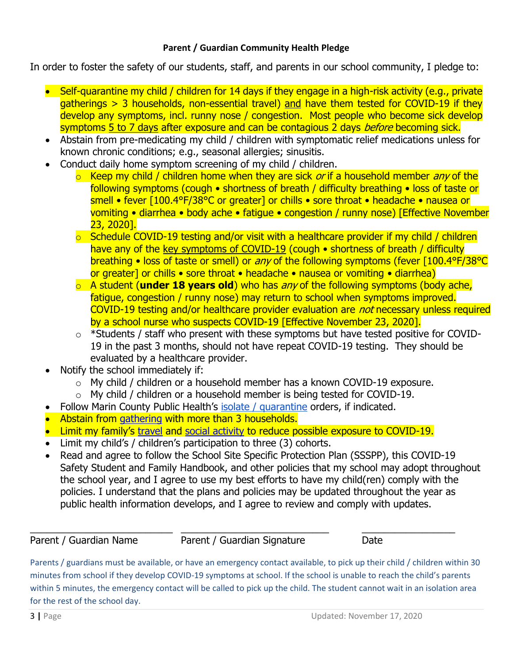#### **Parent / Guardian Community Health Pledge**

In order to foster the safety of our students, staff, and parents in our school community, I pledge to:

- Self-quarantine my child / children for 14 days if they engage in a high-risk activity (e.g., private gatherings > 3 households, non-essential travel) and have them tested for COVID-19 if they develop any symptoms, incl. runny nose / congestion. Most people who become sick develop symptoms 5 to 7 days after exposure and can be contagious 2 days *before* becoming sick.
- Abstain from pre-medicating my child / children with symptomatic relief medications unless for known chronic conditions; e.g., seasonal allergies; sinusitis.
- Conduct daily home symptom screening of my child / children.
	- $\circ$  Keep my child / children home when they are sick *or* if a household member *any* of the following symptoms (cough • shortness of breath / difficulty breathing • loss of taste or smell • fever [100.4°F/38°C or greater] or chills • sore throat • headache • nausea or vomiting • diarrhea • body ache • fatigue • congestion / runny nose) [Effective November 23, 2020].
	- $\circ$  Schedule COVID-19 testing and/or visit with a healthcare provider if my child / children have any of the key symptoms of COVID-19 (cough • shortness of breath / difficulty breathing • loss of taste or smell) or *any* of the following symptoms (fever [100.4°F/38°C or greater] or chills • sore throat • headache • nausea or vomiting • diarrhea)
	- o A student (**under 18 years old**) who has any of the following symptoms (body ache, fatigue, congestion / runny nose) may return to school when symptoms improved. COVID-19 testing and/or healthcare provider evaluation are *not* necessary unless required by a school nurse who suspects COVID-19 [Effective November 23, 2020].
	- $\circ$  \*Students / staff who present with these symptoms but have tested positive for COVID-19 in the past 3 months, should not have repeat COVID-19 testing. They should be evaluated by a healthcare provider.
- Notify the school immediately if:
	- o My child / children or a household member has a known COVID-19 exposure.
	- $\circ$  My child / children or a household member is being tested for COVID-19.
- Follow Marin County Public Health's isolate / quarantine orders, if indicated.
- Abstain from gathering with more than 3 households.
- Limit my family's travel and social activity to reduce possible exposure to COVID-19.
- Limit my child's / children's participation to three (3) cohorts.
- Read and agree to follow the School Site Specific Protection Plan (SSSPP), this COVID-19 Safety Student and Family Handbook, and other policies that my school may adopt throughout the school year, and I agree to use my best efforts to have my child(ren) comply with the policies. I understand that the plans and policies may be updated throughout the year as public health information develops, and I agree to review and comply with updates.

 $\frac{1}{2}$  ,  $\frac{1}{2}$  ,  $\frac{1}{2}$  ,  $\frac{1}{2}$  ,  $\frac{1}{2}$  ,  $\frac{1}{2}$  ,  $\frac{1}{2}$  ,  $\frac{1}{2}$  ,  $\frac{1}{2}$  ,  $\frac{1}{2}$  ,  $\frac{1}{2}$  ,  $\frac{1}{2}$  ,  $\frac{1}{2}$  ,  $\frac{1}{2}$  ,  $\frac{1}{2}$  ,  $\frac{1}{2}$  ,  $\frac{1}{2}$  ,  $\frac{1}{2}$  ,  $\frac{1$ Parent / Guardian Name Parent / Guardian Signature Date

Parents / guardians must be available, or have an emergency contact available, to pick up their child / children within 30 minutes from school if they develop COVID-19 symptoms at school. If the school is unable to reach the child's parents within 5 minutes, the emergency contact will be called to pick up the child. The student cannot wait in an isolation area for the rest of the school day.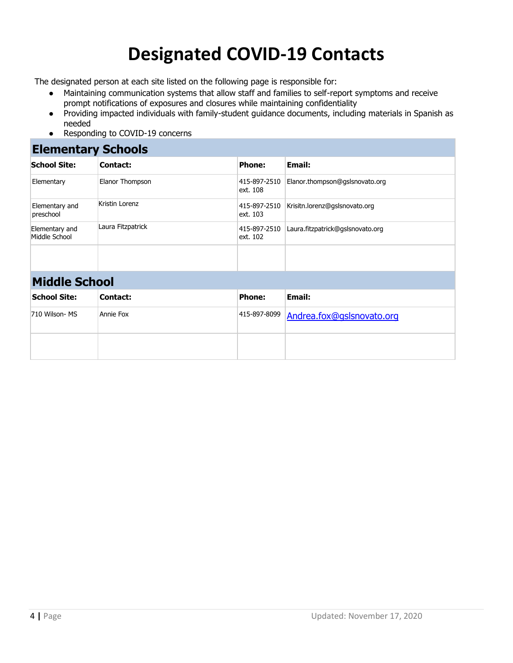# **Designated COVID-19 Contacts**

The designated person at each site listed on the following page is responsible for:

- Maintaining communication systems that allow staff and families to self-report symptoms and receive prompt notifications of exposures and closures while maintaining confidentiality
- Providing impacted individuals with family-student guidance documents, including materials in Spanish as needed
- Responding to COVID-19 concerns

#### **Elementary Schools**

| <b>School Site:</b>             | Contact:          | <b>Phone:</b>            | Email:                           |
|---------------------------------|-------------------|--------------------------|----------------------------------|
| Elementary                      | Elanor Thompson   | 415-897-2510<br>ext. 108 | Elanor.thompson@gslsnovato.org   |
| Elementary and<br>preschool     | Kristin Lorenz    | 415-897-2510<br>ext. 103 | Krisitn.lorenz@gslsnovato.org    |
| Elementary and<br>Middle School | Laura Fitzpatrick | 415-897-2510<br>ext. 102 | Laura.fitzpatrick@gslsnovato.org |
|                                 |                   |                          |                                  |

### **Middle School**

| <b>School Site:</b> | Contact:  | <b>Phone:</b> | Email:                                 |
|---------------------|-----------|---------------|----------------------------------------|
| 710 Wilson- MS      | Annie Fox |               | 415-897-8099 Andrea.fox@gslsnovato.org |
|                     |           |               |                                        |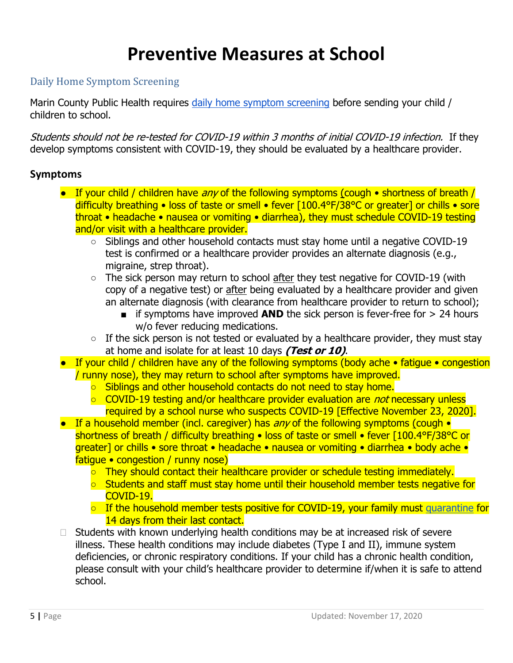# **Preventive Measures at School**

### Daily Home Symptom Screening

Marin County Public Health requires daily home symptom screening before sending your child / children to school.

Students should not be re-tested for COVID-19 within 3 months of initial COVID-19 infection. If they develop symptoms consistent with COVID-19, they should be evaluated by a healthcare provider.

#### **Symptoms**

- If your child / children have any of the following symptoms (cough shortness of breath / difficulty breathing • loss of taste or smell • fever [100.4°F/38°C or greater] or chills • sore throat • headache • nausea or vomiting • diarrhea), they must schedule COVID-19 testing and/or visit with a healthcare provider.
	- Siblings and other household contacts must stay home until a negative COVID-19 test is confirmed or a healthcare provider provides an alternate diagnosis (e.g., migraine, strep throat).
	- The sick person may return to school after they test negative for COVID-19 (with copy of a negative test) or after being evaluated by a healthcare provider and given an alternate diagnosis (with clearance from healthcare provider to return to school);
		- if symptoms have improved **AND** the sick person is fever-free for > 24 hours w/o fever reducing medications.
	- $\circ$  If the sick person is not tested or evaluated by a healthcare provider, they must stay at home and isolate for at least 10 days **(Test or 10)**.
- If your child / children have any of the following symptoms (body ache fatigue congestion / runny nose), they may return to school after symptoms have improved.
	- Siblings and other household contacts do not need to stay home.
	- COVID-19 testing and/or healthcare provider evaluation are *not* necessary unless required by a school nurse who suspects COVID-19 [Effective November 23, 2020].
- **•** If a household member (incl. caregiver) has any of the following symptoms (cough  $\bullet$ shortness of breath / difficulty breathing • loss of taste or smell • fever [100.4°F/38°C or greater] or chills • sore throat • headache • nausea or vomiting • diarrhea • body ache • fatigue • congestion / runny nose)
	- They should contact their healthcare provider or schedule testing immediately.
	- Students and staff must stay home until their household member tests negative for COVID-19.
	- $\circ$  If the household member tests positive for COVID-19, your family must quarantine for 14 days from their last contact.
- $\Box$  Students with known underlying health conditions may be at increased risk of severe illness. These health conditions may include diabetes (Type I and II), immune system deficiencies, or chronic respiratory conditions. If your child has a chronic health condition, please consult with your child's healthcare provider to determine if/when it is safe to attend school.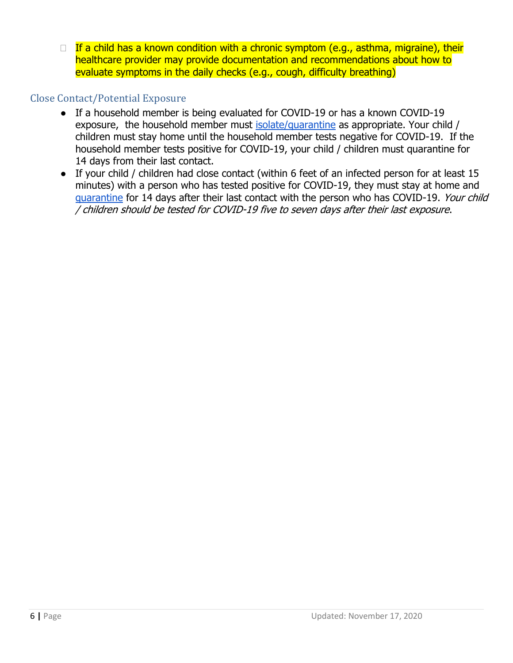$\Box$  If a child has a known condition with a chronic symptom (e.g., asthma, migraine), their healthcare provider may provide documentation and recommendations about how to evaluate symptoms in the daily checks (e.g., cough, difficulty breathing)

#### Close Contact/Potential Exposure

- If a household member is being evaluated for COVID-19 or has a known COVID-19 exposure, the household member must isolate/quarantine as appropriate. Your child / children must stay home until the household member tests negative for COVID-19. If the household member tests positive for COVID-19, your child / children must quarantine for 14 days from their last contact.
- If your child / children had close contact (within 6 feet of an infected person for at least 15 minutes) with a person who has tested positive for COVID-19, they must stay at home and quarantine for 14 days after their last contact with the person who has COVID-19. Your child / children should be tested for COVID-19 five to seven days after their last exposure.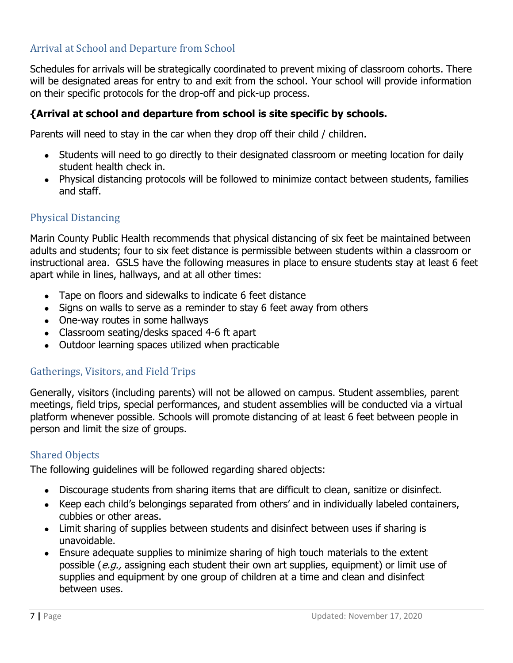### Arrival at School and Departure from School

Schedules for arrivals will be strategically coordinated to prevent mixing of classroom cohorts. There will be designated areas for entry to and exit from the school. Your school will provide information on their specific protocols for the drop-off and pick-up process.

#### **{Arrival at school and departure from school is site specific by schools.**

Parents will need to stay in the car when they drop off their child / children.

- Students will need to go directly to their designated classroom or meeting location for daily student health check in.
- Physical distancing protocols will be followed to minimize contact between students, families and staff.

#### Physical Distancing

Marin County Public Health recommends that physical distancing of six feet be maintained between adults and students; four to six feet distance is permissible between students within a classroom or instructional area. GSLS have the following measures in place to ensure students stay at least 6 feet apart while in lines, hallways, and at all other times:

- Tape on floors and sidewalks to indicate 6 feet distance
- Signs on walls to serve as a reminder to stay 6 feet away from others
- One-way routes in some hallways
- Classroom seating/desks spaced 4-6 ft apart
- Outdoor learning spaces utilized when practicable

#### Gatherings, Visitors, and Field Trips

Generally, visitors (including parents) will not be allowed on campus. Student assemblies, parent meetings, field trips, special performances, and student assemblies will be conducted via a virtual platform whenever possible. Schools will promote distancing of at least 6 feet between people in person and limit the size of groups.

#### Shared Objects

The following guidelines will be followed regarding shared objects:

- Discourage students from sharing items that are difficult to clean, sanitize or disinfect.
- Keep each child's belongings separated from others' and in individually labeled containers, cubbies or other areas.
- Limit sharing of supplies between students and disinfect between uses if sharing is unavoidable.
- Ensure adequate supplies to minimize sharing of high touch materials to the extent possible (e.g., assigning each student their own art supplies, equipment) or limit use of supplies and equipment by one group of children at a time and clean and disinfect between uses.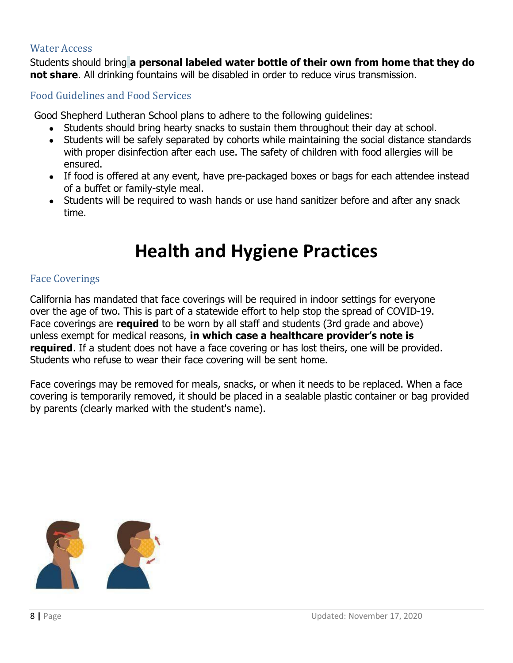#### Water Access

Students should bring **a personal labeled water bottle of their own from home that they do not share**. All drinking fountains will be disabled in order to reduce virus transmission.

#### Food Guidelines and Food Services

Good Shepherd Lutheran School plans to adhere to the following guidelines:

- Students should bring hearty snacks to sustain them throughout their day at school.
- Students will be safely separated by cohorts while maintaining the social distance standards with proper disinfection after each use. The safety of children with food allergies will be ensured.
- If food is offered at any event, have pre-packaged boxes or bags for each attendee instead of a buffet or family-style meal.
- Students will be required to wash hands or use hand sanitizer before and after any snack time.

# **Health and Hygiene Practices**

#### Face Coverings

California has mandated that face coverings will be required in indoor settings for everyone over the age of two. This is part of a statewide effort to help stop the spread of COVID-19. Face coverings are **required** to be worn by all staff and students (3rd grade and above) unless exempt for medical reasons, **in which case a healthcare provider's note is required**. If a student does not have a face covering or has lost theirs, one will be provided. Students who refuse to wear their face covering will be sent home.

Face coverings may be removed for meals, snacks, or when it needs to be replaced. When a face covering is temporarily removed, it should be placed in a sealable plastic container or bag provided by parents (clearly marked with the student's name).

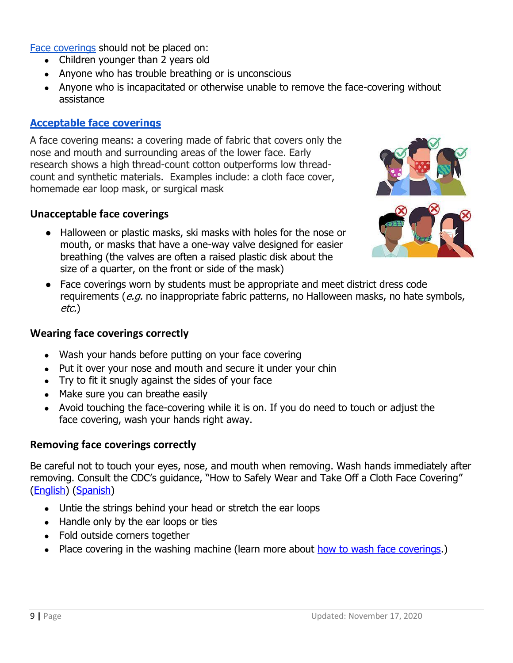Face coverings should not be placed on:

- Children younger than 2 years old
- Anyone who has trouble breathing or is unconscious
- Anyone who is incapacitated or otherwise unable to remove the face-covering without assistance

### **Acceptable face coverings**

A face covering means: a covering made of fabric that covers only the nose and mouth and surrounding areas of the lower face. Early research shows a high thread-count cotton outperforms low threadcount and synthetic materials. Examples include: a cloth face cover, homemade ear loop mask, or surgical mask

#### **Unacceptable face coverings**

● Halloween or plastic masks, ski masks with holes for the nose or mouth, or masks that have a one-way valve designed for easier breathing (the valves are often a raised plastic disk about the size of a quarter, on the front or side of the mask)



● Face coverings worn by students must be appropriate and meet district dress code requirements (e.g. no inappropriate fabric patterns, no Halloween masks, no hate symbols, etc.)

#### **Wearing face coverings correctly**

- Wash your hands before putting on your face covering
- Put it over your nose and mouth and secure it under your chin
- Try to fit it snugly against the sides of your face
- Make sure you can breathe easily
- Avoid touching the face-covering while it is on. If you do need to touch or adjust the face covering, wash your hands right away.

#### **Removing face coverings correctly**

Be careful not to touch your eyes, nose, and mouth when removing. Wash hands immediately after removing. Consult the CDC's guidance, "How to Safely Wear and Take Off a Cloth Face Covering" (English) (Spanish)

- Untie the strings behind your head or stretch the ear loops
- Handle only by the ear loops or ties
- Fold outside corners together
- Place covering in the washing machine (learn more about how to wash face coverings.)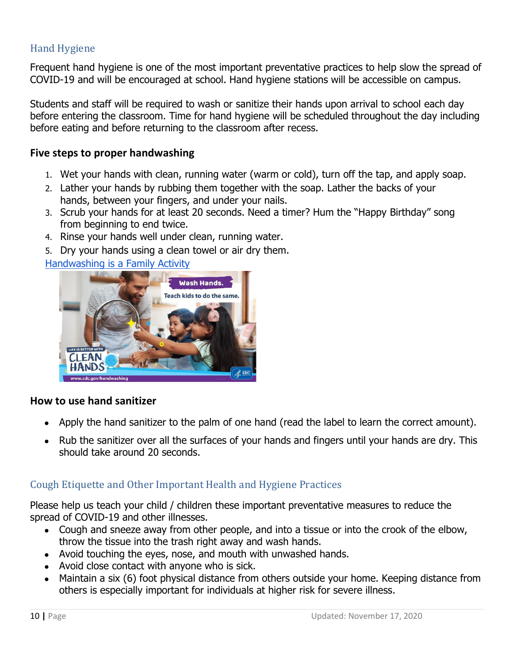### Hand Hygiene

Frequent hand hygiene is one of the most important preventative practices to help slow the spread of COVID-19 and will be encouraged at school. Hand hygiene stations will be accessible on campus.

Students and staff will be required to wash or sanitize their hands upon arrival to school each day before entering the classroom. Time for hand hygiene will be scheduled throughout the day including before eating and before returning to the classroom after recess.

#### **Five steps to proper handwashing**

- 1. Wet your hands with clean, running water (warm or cold), turn off the tap, and apply soap.
- 2. Lather your hands by rubbing them together with the soap. Lather the backs of your hands, between your fingers, and under your nails.
- 3. Scrub your hands for at least 20 seconds. Need a timer? Hum the "Happy Birthday" song from beginning to end twice.
- 4. Rinse your hands well under clean, running water.
- 5. Dry your hands using a clean towel or air dry them.

Handwashing is a Family Activity



#### **How to use hand sanitizer**

- Apply the hand sanitizer to the palm of one hand (read the label to learn the correct amount).
- Rub the sanitizer over all the surfaces of your hands and fingers until your hands are dry. This should take around 20 seconds.

#### Cough Etiquette and Other Important Health and Hygiene Practices

Please help us teach your child / children these important preventative measures to reduce the spread of COVID-19 and other illnesses.

- Cough and sneeze away from other people, and into a tissue or into the crook of the elbow, throw the tissue into the trash right away and wash hands.
- Avoid touching the eyes, nose, and mouth with unwashed hands.
- Avoid close contact with anyone who is sick.
- Maintain a six (6) foot physical distance from others outside your home. Keeping distance from others is especially important for individuals at higher risk for severe illness.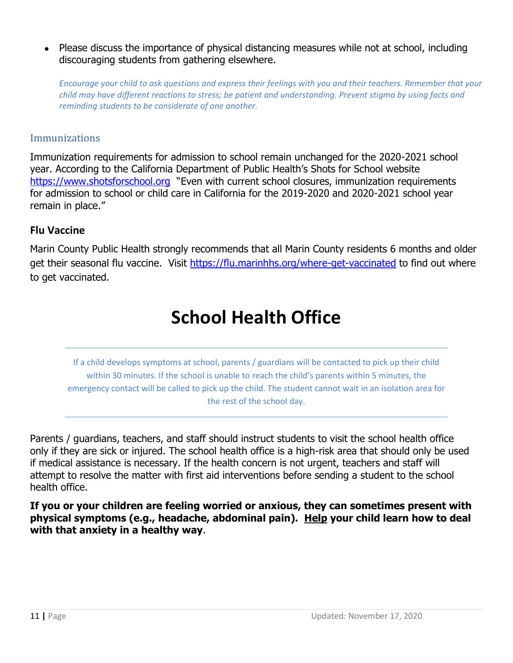• Please discuss the importance of physical distancing measures while not at school, including discouraging students from gathering elsewhere.

*Encourage your child to ask questions and express their feelings with you and their teachers. Remember that your child may have different reactions to stress; be patient and understanding. Prevent stigma by using facts and reminding students to be considerate of one another.* 

#### Immunizations

Immunization requirements for admission to school remain unchanged for the 2020-2021 school year. According to the California Department of Public Health's Shots for School website https://www.shotsforschool.org "Even with current school closures, immunization requirements for admission to school or child care in California for the 2019-2020 and 2020-2021 school year remain in place."

#### **Flu Vaccine**

Marin County Public Health strongly recommends that all Marin County residents 6 months and older get their seasonal flu vaccine. Visit https://flu.marinhhs.org/where-get-vaccinated to find out where to get vaccinated.

# **School Health Office**

If a child develops symptoms at school, parents / guardians will be contacted to pick up their child within 30 minutes. If the school is unable to reach the child's parents within 5 minutes, the emergency contact will be called to pick up the child. The student cannot wait in an isolation area for the rest of the school day.

Parents / guardians, teachers, and staff should instruct students to visit the school health office only if they are sick or injured. The school health office is a high-risk area that should only be used if medical assistance is necessary. If the health concern is not urgent, teachers and staff will attempt to resolve the matter with first aid interventions before sending a student to the school health office.

**If you or your children are feeling worried or anxious, they can sometimes present with physical symptoms (e.g., headache, abdominal pain). Help your child learn how to deal with that anxiety in a healthy way**.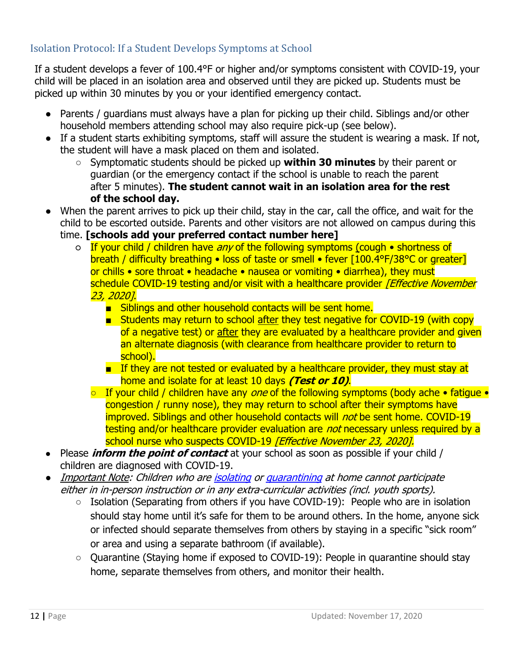#### Isolation Protocol: If a Student Develops Symptoms at School

If a student develops a fever of 100.4°F or higher and/or symptoms consistent with COVID-19, your child will be placed in an isolation area and observed until they are picked up. Students must be picked up within 30 minutes by you or your identified emergency contact.

- Parents / guardians must always have a plan for picking up their child. Siblings and/or other household members attending school may also require pick-up (see below).
- If a student starts exhibiting symptoms, staff will assure the student is wearing a mask. If not, the student will have a mask placed on them and isolated.
	- Symptomatic students should be picked up **within 30 minutes** by their parent or guardian (or the emergency contact if the school is unable to reach the parent after 5 minutes). **The student cannot wait in an isolation area for the rest of the school day.**
- When the parent arrives to pick up their child, stay in the car, call the office, and wait for the child to be escorted outside. Parents and other visitors are not allowed on campus during this time. **[schools add your preferred contact number here]**
	- o If your child / children have any of the following symptoms (cough shortness of breath / difficulty breathing • loss of taste or smell • fever [100.4°F/38°C or greater] or chills • sore throat • headache • nausea or vomiting • diarrhea), they must schedule COVID-19 testing and/or visit with a healthcare provider *[Effective November* 23, 2020].
		- Siblings and other household contacts will be sent home.
		- Students may return to school after they test negative for COVID-19 (with copy of a negative test) or after they are evaluated by a healthcare provider and given an alternate diagnosis (with clearance from healthcare provider to return to school).
		- If they are not tested or evaluated by a healthcare provider, they must stay at home and isolate for at least 10 days **(Test or 10)**.
		- $\circ$  If your child / children have any *one* of the following symptoms (body ache fatigue congestion / runny nose), they may return to school after their symptoms have improved. Siblings and other household contacts will *not* be sent home. COVID-19 testing and/or healthcare provider evaluation are *not* necessary unless required by a school nurse who suspects COVID-19 *[Effective November 23, 2020].*
- Please **inform the point of contact** at your school as soon as possible if your child / children are diagnosed with COVID-19.
- **•** Important Note: Children who are *isolating or guarantining at home cannot participate* either in in-person instruction or in any extra-curricular activities (incl. youth sports).
	- Isolation (Separating from others if you have COVID-19): People who are in isolation should stay home until it's safe for them to be around others. In the home, anyone sick or infected should separate themselves from others by staying in a specific "sick room" or area and using a separate bathroom (if available).
	- Quarantine (Staying home if exposed to COVID-19): People in quarantine should stay home, separate themselves from others, and monitor their health.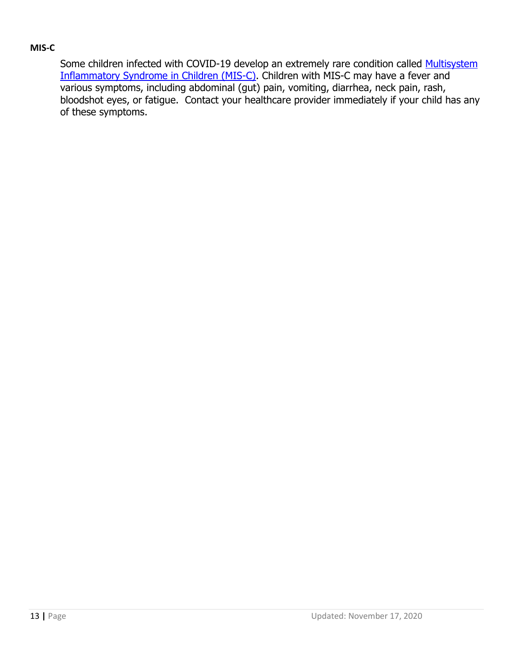#### **MIS-C**

Some children infected with COVID-19 develop an extremely rare condition called Multisystem Inflammatory Syndrome in Children (MIS-C). Children with MIS-C may have a fever and various symptoms, including abdominal (gut) pain, vomiting, diarrhea, neck pain, rash, bloodshot eyes, or fatigue. Contact your healthcare provider immediately if your child has any of these symptoms.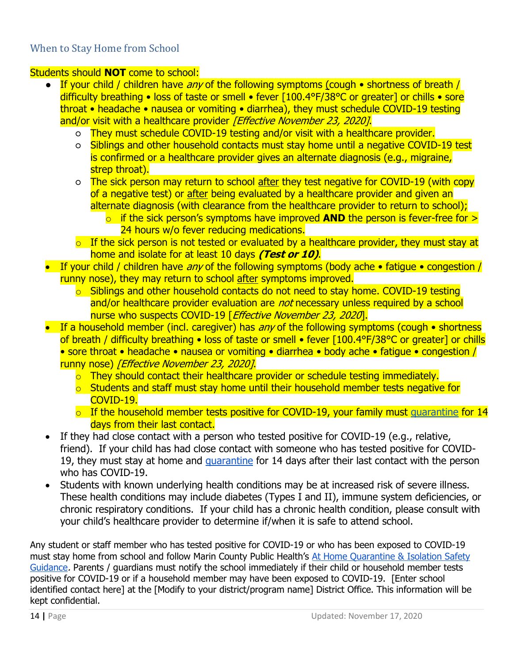#### When to Stay Home from School

#### Students should **NOT** come to school:

- **•** If your child / children have any of the following symptoms (cough  $\bullet$  shortness of breath / difficulty breathing • loss of taste or smell • fever [100.4°F/38°C or greater] or chills • sore throat • headache • nausea or vomiting • diarrhea), they must schedule COVID-19 testing and/or visit with a healthcare provider *[Effective November 23, 2020]*.
	- They must schedule COVID-19 testing and/or visit with a healthcare provider.
	- o Siblings and other household contacts must stay home until a negative COVID-19 test is confirmed or a healthcare provider gives an alternate diagnosis (e.g., migraine, strep throat).
	- The sick person may return to school after they test negative for COVID-19 (with copy of a negative test) or after being evaluated by a healthcare provider and given an alternate diagnosis (with clearance from the healthcare provider to return to school);
		- o if the sick person's symptoms have improved **AND** the person is fever-free for > 24 hours w/o fever reducing medications.
	- $\circ$  If the sick person is not tested or evaluated by a healthcare provider, they must stay at home and isolate for at least 10 days **(Test or 10)**.
- If your child / children have any of the following symptoms (body ache fatigue congestion / runny nose), they may return to school after symptoms improved.
	- $\circ$  Siblings and other household contacts do not need to stay home. COVID-19 testing and/or healthcare provider evaluation are *not* necessary unless required by a school nurse who suspects COVID-19 [ Effective November 23, 2020].
- If a household member (incl. caregiver) has  $any$  of the following symptoms (cough  $\bullet$  shortness of breath / difficulty breathing • loss of taste or smell • fever [100.4°F/38°C or greater] or chills • sore throat • headache • nausea or vomiting • diarrhea • body ache • fatigue • congestion / runny nose) [Effective November 23, 2020].
	- o They should contact their healthcare provider or schedule testing immediately.
	- $\circ$  Students and staff must stay home until their household member tests negative for COVID-19.
	- $\circ$  If the household member tests positive for COVID-19, your family must quarantine for 14 days from their last contact.
- If they had close contact with a person who tested positive for COVID-19 (e.g., relative, friend). If your child has had close contact with someone who has tested positive for COVID-19, they must stay at home and quarantine for 14 days after their last contact with the person who has COVID-19.
- Students with known underlying health conditions may be at increased risk of severe illness. These health conditions may include diabetes (Types I and II), immune system deficiencies, or chronic respiratory conditions. If your child has a chronic health condition, please consult with your child's healthcare provider to determine if/when it is safe to attend school.

Any student or staff member who has tested positive for COVID-19 or who has been exposed to COVID-19 must stay home from school and follow Marin County Public Health's At Home Quarantine & Isolation Safety Guidance. Parents / guardians must notify the school immediately if their child or household member tests positive for COVID-19 or if a household member may have been exposed to COVID-19. [Enter school identified contact here] at the [Modify to your district/program name] District Office. This information will be kept confidential.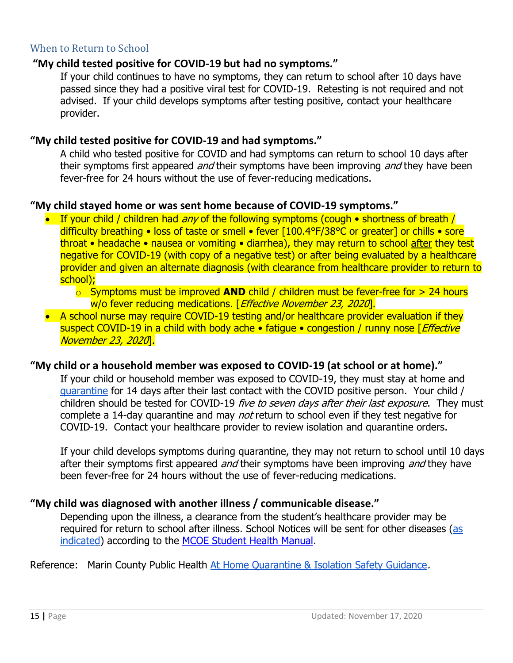#### When to Return to School

#### **"My child tested positive for COVID-19 but had no symptoms."**

If your child continues to have no symptoms, they can return to school after 10 days have passed since they had a positive viral test for COVID-19. Retesting is not required and not advised. If your child develops symptoms after testing positive, contact your healthcare provider.

### **"My child tested positive for COVID-19 and had symptoms."**

A child who tested positive for COVID and had symptoms can return to school 10 days after their symptoms first appeared *and* their symptoms have been improving *and* they have been fever-free for 24 hours without the use of fever-reducing medications.

#### **"My child stayed home or was sent home because of COVID-19 symptoms."**

- If your child / children had  $any$  of the following symptoms (cough  $\bullet$  shortness of breath / difficulty breathing • loss of taste or smell • fever [100.4°F/38°C or greater] or chills • sore throat • headache • nausea or vomiting • diarrhea), they may return to school after they test negative for COVID-19 (with copy of a negative test) or after being evaluated by a healthcare provider and given an alternate diagnosis (with clearance from healthcare provider to return to school);
	- o Symptoms must be improved **AND** child / children must be fever-free for > 24 hours w/o fever reducing medications. [Effective November 23, 2020].
- A school nurse may require COVID-19 testing and/or healthcare provider evaluation if they suspect COVID-19 in a child with body ache • fatique • congestion / runny nose [*Effective*] November 23, 2020].

#### **"My child or a household member was exposed to COVID-19 (at school or at home)."**

If your child or household member was exposed to COVID-19, they must stay at home and quarantine for 14 days after their last contact with the COVID positive person. Your child / children should be tested for COVID-19 five to seven days after their last exposure. They must complete a 14-day quarantine and may *not* return to school even if they test negative for COVID-19. Contact your healthcare provider to review isolation and quarantine orders.

If your child develops symptoms during quarantine, they may not return to school until 10 days after their symptoms first appeared *and* their symptoms have been improving *and* they have been fever-free for 24 hours without the use of fever-reducing medications.

#### **"My child was diagnosed with another illness / communicable disease."**

Depending upon the illness, a clearance from the student's healthcare provider may be required for return to school after illness. School Notices will be sent for other diseases (as indicated) according to the MCOE Student Health Manual.

Reference: Marin County Public Health At Home Quarantine & Isolation Safety Guidance.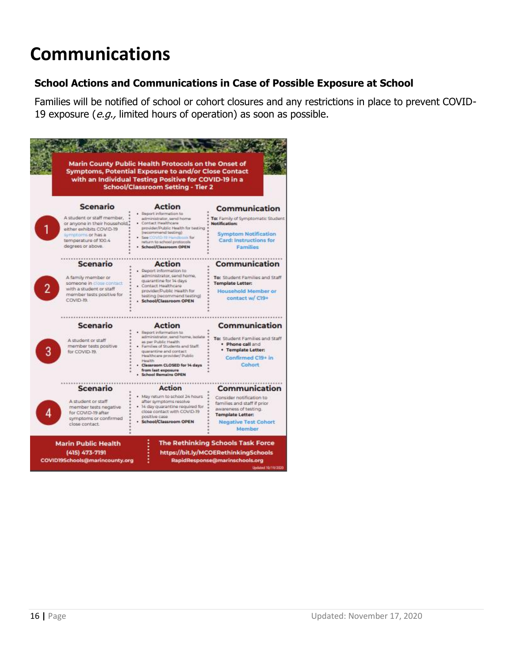# **Communications**

### **School Actions and Communications in Case of Possible Exposure at School**

Families will be notified of school or cohort closures and any restrictions in place to prevent COVID-19 exposure (e.g., limited hours of operation) as soon as possible.